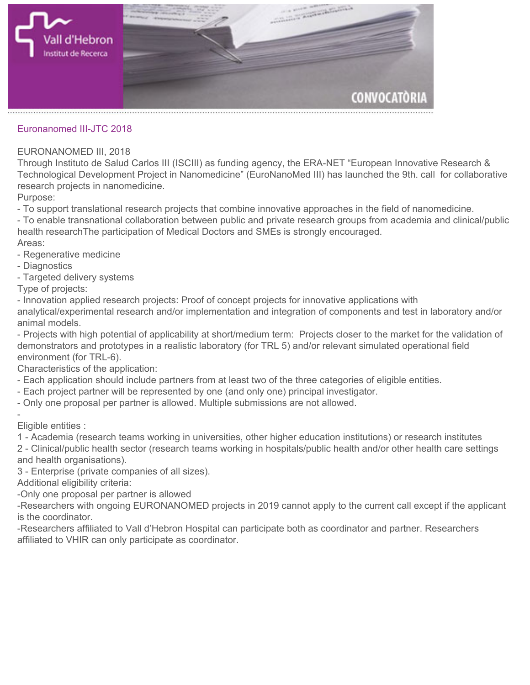

**Euronanomed III-JTC 2018**

## **EURONANOMED III, 2018**

**Through Instituto de Salud Carlos III (ISCIII) as funding agency, the ERA-NET "European Innovative Research & Technological Development Project in Nanomedicine" (EuroNanoMed III) has launched the 9th. call for collaborative research projects in nanomedicine.**

**Purpose:**

**- To support translational research projects that combine innovative approaches in the field of nanomedicine.**

**- To enable transnational collaboration between public and private research groups from academia and clinical/public health researchThe participation of Medical Doctors and SMEs is strongly encouraged.**

**Areas:**

- **Regenerative medicine**
- **Diagnostics**
- **Targeted delivery systems**

**Type of projects:**

**- Innovation applied research projects: Proof of concept projects for innovative applications with**

**analytical/experimental research and/or implementation and integration of components and test in laboratory and/or animal models.**

**- Projects with high potential of applicability at short/medium term: Projects closer to the market for the validation of demonstrators and prototypes in a realistic laboratory (for TRL 5) and/or relevant simulated operational field environment (for TRL-6).**

**Characteristics of the application:**

- **Each application should include partners from at least two of the three categories of eligible entities.**
- **Each project partner will be represented by one (and only one) principal investigator.**
- **Only one proposal per partner is allowed. Multiple submissions are not allowed.**

**- Eligible entities :**

**1 - Academia (research teams working in universities, other higher education institutions) or research institutes**

**2 - Clinical/public health sector (research teams working in hospitals/public health and/or other health care settings and health organisations).**

**3 - Enterprise (private companies of all sizes).**

**Additional eligibility criteria:**

**-Only one proposal per partner is allowed**

**-Researchers with ongoing EURONANOMED projects in 2019 cannot apply to the current call except if the applicant is the coordinator.**

**-Researchers affiliated to Vall d'Hebron Hospital can participate both as coordinator and partner. Researchers affiliated to VHIR can only participate as coordinator.**